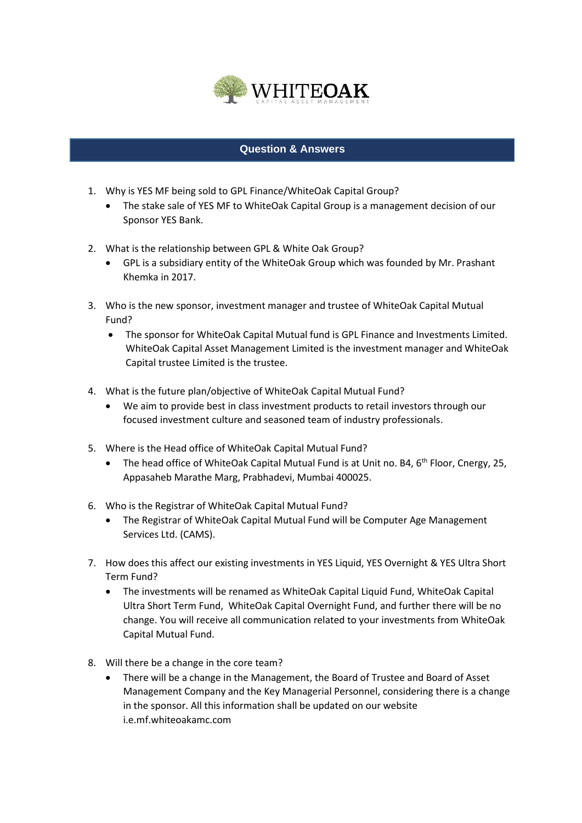

## **Question & Answers**

- 1. Why is YES MF being sold to GPL Finance/WhiteOak Capital Group?
	- The stake sale of YES MF to WhiteOak Capital Group is a management decision of our Sponsor YES Bank.
- 2. What is the relationship between GPL & White Oak Group?
	- GPL is a subsidiary entity of the WhiteOak Group which was founded by Mr. Prashant Khemka in 2017.
- 3. Who is the new sponsor, investment manager and trustee of WhiteOak Capital Mutual Fund?
	- The sponsor for WhiteOak Capital Mutual fund is GPL Finance and Investments Limited. WhiteOak Capital Asset Management Limited is the investment manager and WhiteOak Capital trustee Limited is the trustee.
- 4. What is the future plan/objective of WhiteOak Capital Mutual Fund?
	- We aim to provide best in class investment products to retail investors through our focused investment culture and seasoned team of industry professionals.
- 5. Where is the Head office of WhiteOak Capital Mutual Fund?
	- The head office of WhiteOak Capital Mutual Fund is at Unit no. B4,  $6<sup>th</sup>$  Floor, Cnergy, 25, Appasaheb Marathe Marg, Prabhadevi, Mumbai 400025.
- 6. Who is the Registrar of WhiteOak Capital Mutual Fund?
	- The Registrar of WhiteOak Capital Mutual Fund will be Computer Age Management Services Ltd. (CAMS).
- 7. How does this affect our existing investments in YES Liquid, YES Overnight & YES Ultra Short Term Fund?
	- The investments will be renamed as WhiteOak Capital Liquid Fund, WhiteOak Capital Ultra Short Term Fund, WhiteOak Capital Overnight Fund, and further there will be no change. You will receive all communication related to your investments from WhiteOak Capital Mutual Fund.
- 8. Will there be a change in the core team?
	- There will be a change in the Management, the Board of Trustee and Board of Asset Management Company and the Key Managerial Personnel, considering there is a change in the sponsor. All this information shall be updated on our website i.e.mf.whiteoakamc.com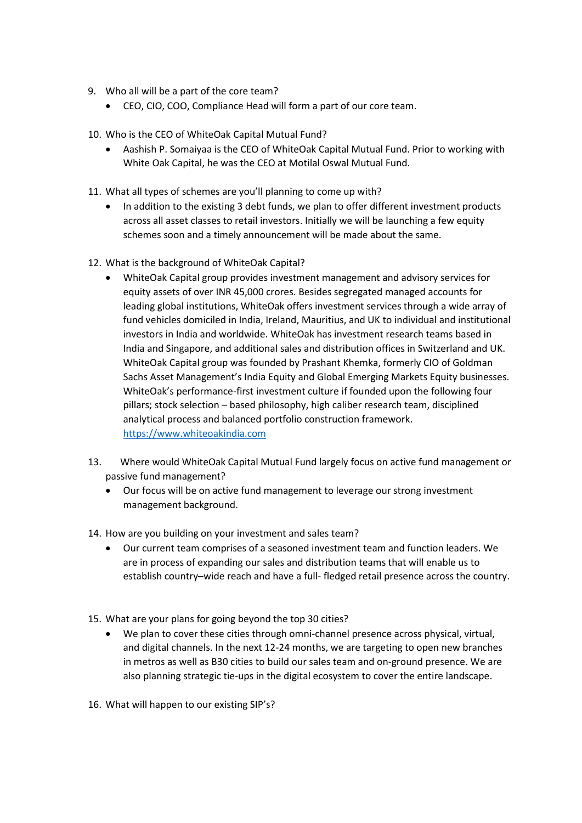- 9. Who all will be a part of the core team?
	- CEO, CIO, COO, Compliance Head will form a part of our core team.
- 10. Who is the CEO of WhiteOak Capital Mutual Fund?
	- Aashish P. Somaiyaa is the CEO of WhiteOak Capital Mutual Fund. Prior to working with White Oak Capital, he was the CEO at Motilal Oswal Mutual Fund.
- 11. What all types of schemes are you'll planning to come up with?
	- In addition to the existing 3 debt funds, we plan to offer different investment products across all asset classes to retail investors. Initially we will be launching a few equity schemes soon and a timely announcement will be made about the same.
- 12. What is the background of WhiteOak Capital?
	- WhiteOak Capital group provides investment management and advisory services for equity assets of over INR 45,000 crores. Besides segregated managed accounts for leading global institutions, WhiteOak offers investment services through a wide array of fund vehicles domiciled in India, Ireland, Mauritius, and UK to individual and institutional investors in India and worldwide. WhiteOak has investment research teams based in India and Singapore, and additional sales and distribution offices in Switzerland and UK. WhiteOak Capital group was founded by Prashant Khemka, formerly CIO of Goldman Sachs Asset Management's India Equity and Global Emerging Markets Equity businesses. WhiteOak's performance-first investment culture if founded upon the following four pillars; stock selection – based philosophy, high caliber research team, disciplined analytical process and balanced portfolio construction framework. [https://www.whiteoakindia.com](https://www.whiteoakindia.com/)
- 13. Where would WhiteOak Capital Mutual Fund largely focus on active fund management or passive fund management?
	- Our focus will be on active fund management to leverage our strong investment management background.
- 14. How are you building on your investment and sales team?
	- Our current team comprises of a seasoned investment team and function leaders. We are in process of expanding our sales and distribution teams that will enable us to establish country–wide reach and have a full- fledged retail presence across the country.
- 15. What are your plans for going beyond the top 30 cities?
	- We plan to cover these cities through omni-channel presence across physical, virtual, and digital channels. In the next 12-24 months, we are targeting to open new branches in metros as well as B30 cities to build our sales team and on-ground presence. We are also planning strategic tie-ups in the digital ecosystem to cover the entire landscape.
- 16. What will happen to our existing SIP's?